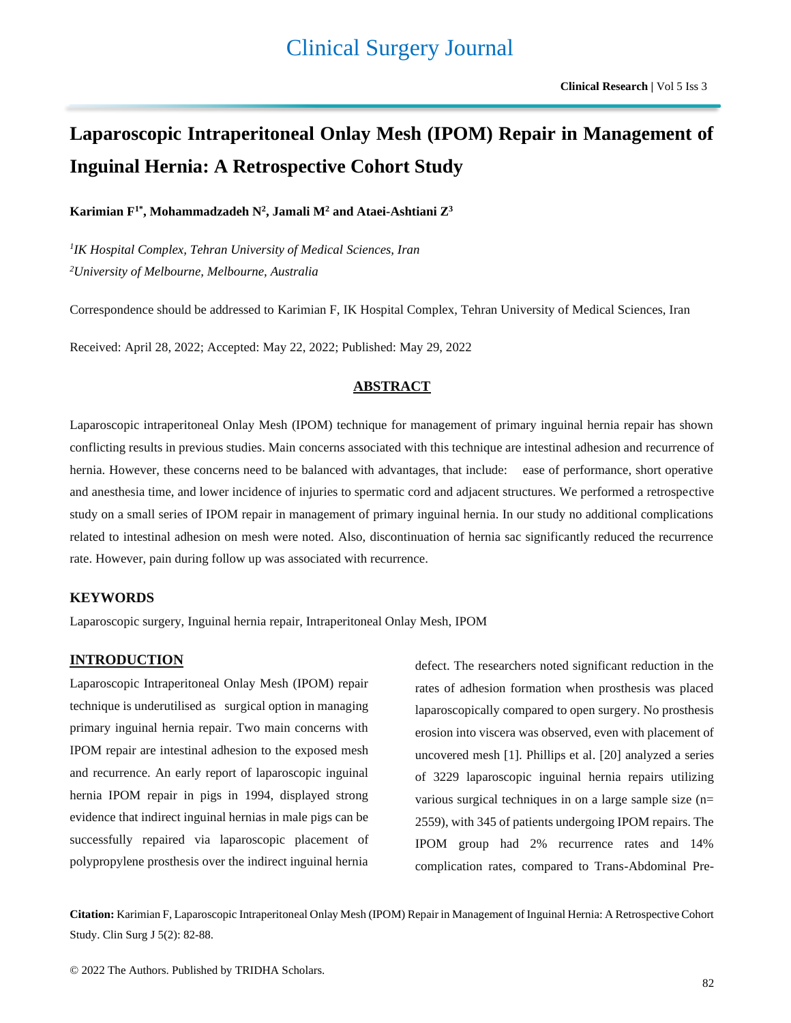# **Laparoscopic Intraperitoneal Onlay Mesh (IPOM) Repair in Management of Inguinal Hernia: A Retrospective Cohort Study**

**Karimian F1\* , Mohammadzadeh N<sup>2</sup> , Jamali M<sup>2</sup> and Ataei-Ashtiani Z<sup>3</sup>**

*1 IK Hospital Complex, Tehran University of Medical Sciences, Iran <sup>2</sup>University of Melbourne, Melbourne, Australia*

Correspondence should be addressed to Karimian F, IK Hospital Complex, Tehran University of Medical Sciences, Iran

Received: April 28, 2022; Accepted: May 22, 2022; Published: May 29, 2022

# **ABSTRACT**

Laparoscopic intraperitoneal Onlay Mesh (IPOM) technique for management of primary inguinal hernia repair has shown conflicting results in previous studies. Main concerns associated with this technique are intestinal adhesion and recurrence of hernia. However, these concerns need to be balanced with advantages, that include: ease of performance, short operative and anesthesia time, and lower incidence of injuries to spermatic cord and adjacent structures. We performed a retrospective study on a small series of IPOM repair in management of primary inguinal hernia. In our study no additional complications related to intestinal adhesion on mesh were noted. Also, discontinuation of hernia sac significantly reduced the recurrence rate. However, pain during follow up was associated with recurrence.

## **KEYWORDS**

Laparoscopic surgery, Inguinal hernia repair, Intraperitoneal Onlay Mesh, IPOM

# **INTRODUCTION**

Laparoscopic Intraperitoneal Onlay Mesh (IPOM) repair technique is underutilised as surgical option in managing primary inguinal hernia repair. Two main concerns with IPOM repair are intestinal adhesion to the exposed mesh and recurrence. An early report of laparoscopic inguinal hernia IPOM repair in pigs in 1994, displayed strong evidence that indirect inguinal hernias in male pigs can be successfully repaired via laparoscopic placement of polypropylene prosthesis over the indirect inguinal hernia

defect. The researchers noted significant reduction in the rates of adhesion formation when prosthesis was placed laparoscopically compared to open surgery. No prosthesis erosion into viscera was observed, even with placement of uncovered mesh [1]. Phillips et al. [20] analyzed a series of 3229 laparoscopic inguinal hernia repairs utilizing various surgical techniques in on a large sample size (n= 2559), with 345 of patients undergoing IPOM repairs. The IPOM group had 2% recurrence rates and 14% complication rates, compared to Trans-Abdominal Pre-

**Citation:** Karimian F, Laparoscopic Intraperitoneal Onlay Mesh (IPOM) Repair in Management of Inguinal Hernia: A Retrospective Cohort Study. Clin Surg J 5(2): 82-88.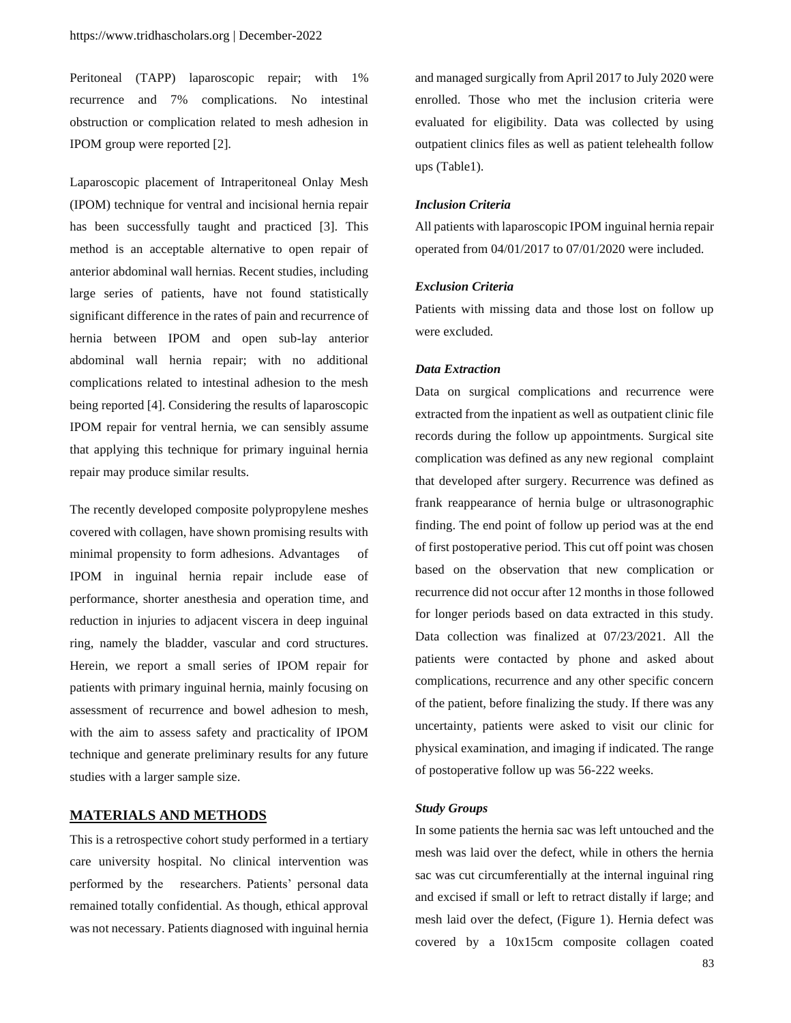Peritoneal (TAPP) laparoscopic repair; with 1% recurrence and 7% complications. No intestinal obstruction or complication related to mesh adhesion in IPOM group were reported [2].

Laparoscopic placement of Intraperitoneal Onlay Mesh (IPOM) technique for ventral and incisional hernia repair has been successfully taught and practiced [3]. This method is an acceptable alternative to open repair of anterior abdominal wall hernias. Recent studies, including large series of patients, have not found statistically significant difference in the rates of pain and recurrence of hernia between IPOM and open sub-lay anterior abdominal wall hernia repair; with no additional complications related to intestinal adhesion to the mesh being reported [4]. Considering the results of laparoscopic IPOM repair for ventral hernia, we can sensibly assume that applying this technique for primary inguinal hernia repair may produce similar results.

The recently developed composite polypropylene meshes covered with collagen, have shown promising results with minimal propensity to form adhesions. Advantages of IPOM in inguinal hernia repair include ease of performance, shorter anesthesia and operation time, and reduction in injuries to adjacent viscera in deep inguinal ring, namely the bladder, vascular and cord structures. Herein, we report a small series of IPOM repair for patients with primary inguinal hernia, mainly focusing on assessment of recurrence and bowel adhesion to mesh, with the aim to assess safety and practicality of IPOM technique and generate preliminary results for any future studies with a larger sample size.

# **MATERIALS AND METHODS**

This is a retrospective cohort study performed in a tertiary care university hospital. No clinical intervention was performed by the researchers. Patients' personal data remained totally confidential. As though, ethical approval was not necessary. Patients diagnosed with inguinal hernia and managed surgically from April 2017 to July 2020 were enrolled. Those who met the inclusion criteria were evaluated for eligibility. Data was collected by using outpatient clinics files as well as patient telehealth follow ups (Table1).

#### *Inclusion Criteria*

All patients with laparoscopic IPOM inguinal hernia repair operated from 04/01/2017 to 07/01/2020 were included.

## *Exclusion Criteria*

Patients with missing data and those lost on follow up were excluded.

## *Data Extraction*

Data on surgical complications and recurrence were extracted from the inpatient as well as outpatient clinic file records during the follow up appointments. Surgical site complication was defined as any new regional complaint that developed after surgery. Recurrence was defined as frank reappearance of hernia bulge or ultrasonographic finding. The end point of follow up period was at the end of first postoperative period. This cut off point was chosen based on the observation that new complication or recurrence did not occur after 12 months in those followed for longer periods based on data extracted in this study. Data collection was finalized at 07/23/2021. All the patients were contacted by phone and asked about complications, recurrence and any other specific concern of the patient, before finalizing the study. If there was any uncertainty, patients were asked to visit our clinic for physical examination, and imaging if indicated. The range of postoperative follow up was 56-222 weeks.

#### *Study Groups*

In some patients the hernia sac was left untouched and the mesh was laid over the defect, while in others the hernia sac was cut circumferentially at the internal inguinal ring and excised if small or left to retract distally if large; and mesh laid over the defect, (Figure 1). Hernia defect was covered by a 10x15cm composite collagen coated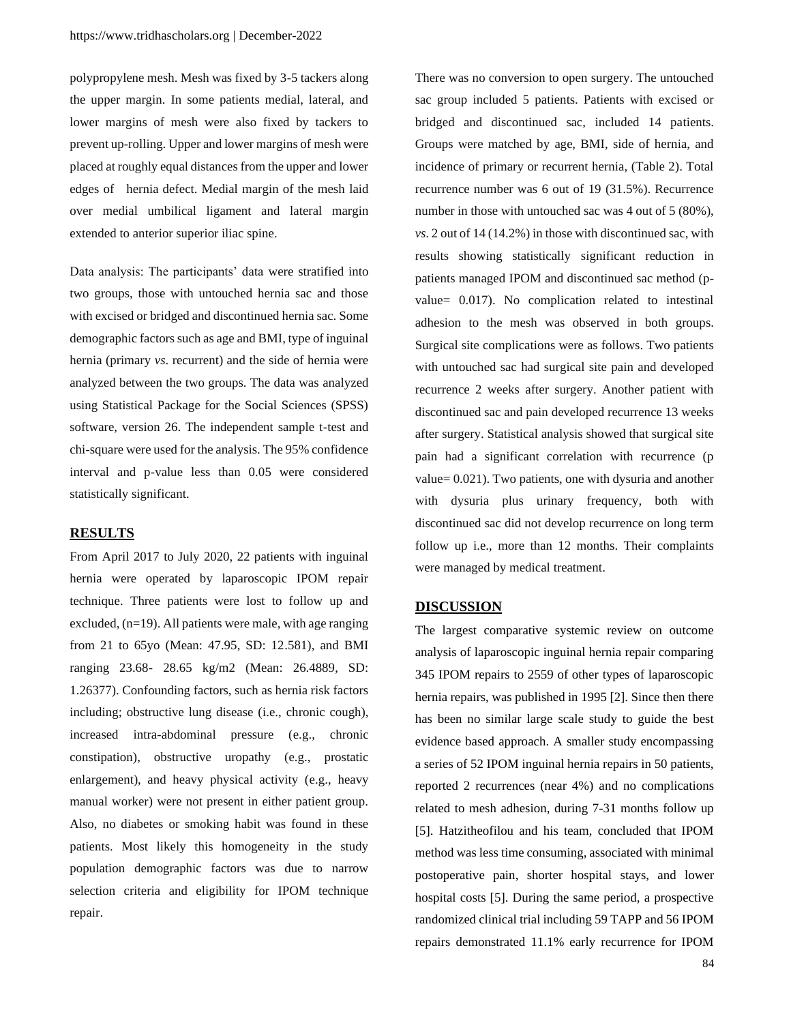polypropylene mesh. Mesh was fixed by 3-5 tackers along the upper margin. In some patients medial, lateral, and lower margins of mesh were also fixed by tackers to prevent up-rolling. Upper and lower margins of mesh were placed at roughly equal distances from the upper and lower edges of hernia defect. Medial margin of the mesh laid over medial umbilical ligament and lateral margin extended to anterior superior iliac spine.

Data analysis: The participants' data were stratified into two groups, those with untouched hernia sac and those with excised or bridged and discontinued hernia sac. Some demographic factors such as age and BMI, type of inguinal hernia (primary *vs*. recurrent) and the side of hernia were analyzed between the two groups. The data was analyzed using Statistical Package for the Social Sciences (SPSS) software, version 26. The independent sample t-test and chi-square were used for the analysis. The 95% confidence interval and p-value less than 0.05 were considered statistically significant.

# **RESULTS**

From April 2017 to July 2020, 22 patients with inguinal hernia were operated by laparoscopic IPOM repair technique. Three patients were lost to follow up and excluded,  $(n=19)$ . All patients were male, with age ranging from 21 to 65yo (Mean: 47.95, SD: 12.581), and BMI ranging 23.68- 28.65 kg/m2 (Mean: 26.4889, SD: 1.26377). Confounding factors, such as hernia risk factors including; obstructive lung disease (i.e., chronic cough), increased intra-abdominal pressure (e.g., chronic constipation), obstructive uropathy (e.g., prostatic enlargement), and heavy physical activity (e.g., heavy manual worker) were not present in either patient group. Also, no diabetes or smoking habit was found in these patients. Most likely this homogeneity in the study population demographic factors was due to narrow selection criteria and eligibility for IPOM technique repair.

There was no conversion to open surgery. The untouched sac group included 5 patients. Patients with excised or bridged and discontinued sac, included 14 patients. Groups were matched by age, BMI, side of hernia, and incidence of primary or recurrent hernia, (Table 2). Total recurrence number was 6 out of 19 (31.5%). Recurrence number in those with untouched sac was 4 out of 5 (80%), *vs*. 2 out of 14 (14.2%) in those with discontinued sac, with results showing statistically significant reduction in patients managed IPOM and discontinued sac method (pvalue= 0.017). No complication related to intestinal adhesion to the mesh was observed in both groups. Surgical site complications were as follows. Two patients with untouched sac had surgical site pain and developed recurrence 2 weeks after surgery. Another patient with discontinued sac and pain developed recurrence 13 weeks after surgery. Statistical analysis showed that surgical site pain had a significant correlation with recurrence (p value= 0.021). Two patients, one with dysuria and another with dysuria plus urinary frequency, both with discontinued sac did not develop recurrence on long term follow up i.e., more than 12 months. Their complaints were managed by medical treatment.

#### **DISCUSSION**

The largest comparative systemic review on outcome analysis of laparoscopic inguinal hernia repair comparing 345 IPOM repairs to 2559 of other types of laparoscopic hernia repairs, was published in 1995 [2]. Since then there has been no similar large scale study to guide the best evidence based approach. A smaller study encompassing a series of 52 IPOM inguinal hernia repairs in 50 patients, reported 2 recurrences (near 4%) and no complications related to mesh adhesion, during 7-31 months follow up [5]. Hatzitheofilou and his team, concluded that IPOM method was less time consuming, associated with minimal postoperative pain, shorter hospital stays, and lower hospital costs [5]. During the same period, a prospective randomized clinical trial including 59 TAPP and 56 IPOM repairs demonstrated 11.1% early recurrence for IPOM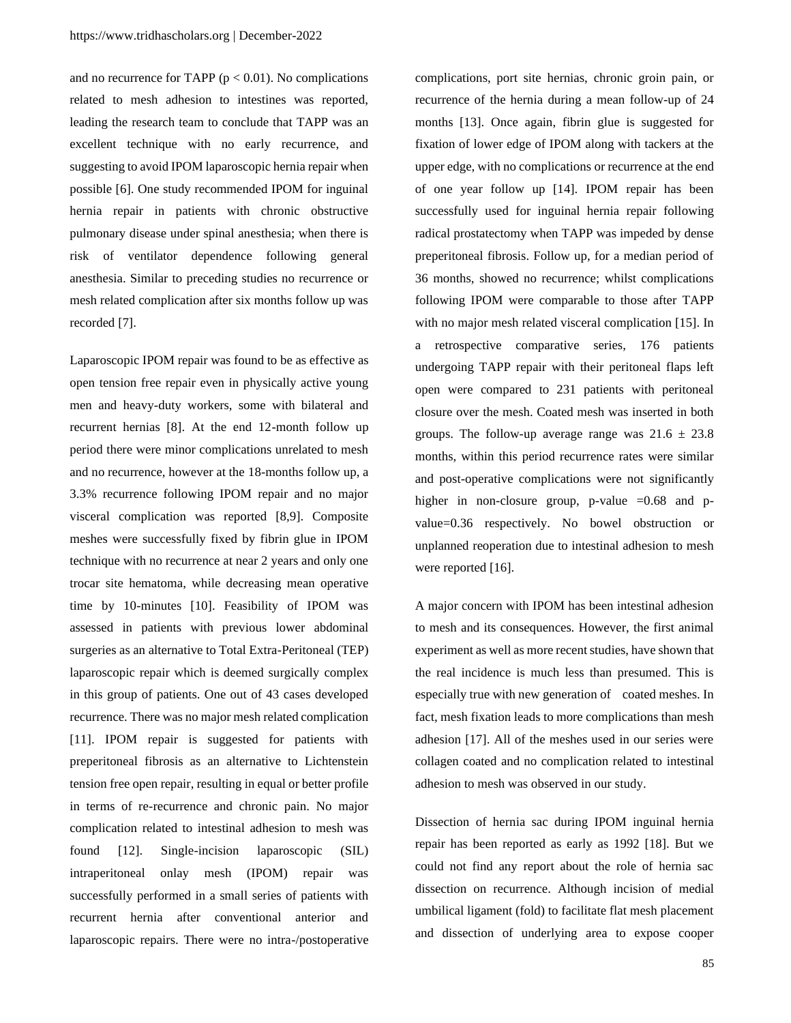and no recurrence for TAPP ( $p < 0.01$ ). No complications related to mesh adhesion to intestines was reported, leading the research team to conclude that TAPP was an excellent technique with no early recurrence, and suggesting to avoid IPOM laparoscopic hernia repair when possible [6]. One study recommended IPOM for inguinal hernia repair in patients with chronic obstructive pulmonary disease under spinal anesthesia; when there is risk of ventilator dependence following general anesthesia. Similar to preceding studies no recurrence or mesh related complication after six months follow up was recorded [7].

Laparoscopic IPOM repair was found to be as effective as open tension free repair even in physically active young men and heavy-duty workers, some with bilateral and recurrent hernias [8]. At the end 12-month follow up period there were minor complications unrelated to mesh and no recurrence, however at the 18-months follow up, a 3.3% recurrence following IPOM repair and no major visceral complication was reported [8,9]. Composite meshes were successfully fixed by fibrin glue in IPOM technique with no recurrence at near 2 years and only one trocar site hematoma, while decreasing mean operative time by 10-minutes [10]. Feasibility of IPOM was assessed in patients with previous lower abdominal surgeries as an alternative to Total Extra-Peritoneal (TEP) laparoscopic repair which is deemed surgically complex in this group of patients. One out of 43 cases developed recurrence. There was no major mesh related complication [11]. IPOM repair is suggested for patients with preperitoneal fibrosis as an alternative to Lichtenstein tension free open repair, resulting in equal or better profile in terms of re-recurrence and chronic pain. No major complication related to intestinal adhesion to mesh was found [12]. Single-incision laparoscopic (SIL) intraperitoneal onlay mesh (IPOM) repair was successfully performed in a small series of patients with recurrent hernia after conventional anterior and laparoscopic repairs. There were no intra-/postoperative

complications, port site hernias, chronic groin pain, or recurrence of the hernia during a mean follow-up of 24 months [13]. Once again, fibrin glue is suggested for fixation of lower edge of IPOM along with tackers at the upper edge, with no complications or recurrence at the end of one year follow up [14]. IPOM repair has been successfully used for inguinal hernia repair following radical prostatectomy when TAPP was impeded by dense preperitoneal fibrosis. Follow up, for a median period of 36 months, showed no recurrence; whilst complications following IPOM were comparable to those after TAPP with no major mesh related visceral complication [15]. In a retrospective comparative series, 176 patients undergoing TAPP repair with their peritoneal flaps left open were compared to 231 patients with peritoneal closure over the mesh. Coated mesh was inserted in both groups. The follow-up average range was  $21.6 \pm 23.8$ months, within this period recurrence rates were similar and post-operative complications were not significantly higher in non-closure group, p-value  $=0.68$  and pvalue=0.36 respectively. No bowel obstruction or unplanned reoperation due to intestinal adhesion to mesh were reported [16].

A major concern with IPOM has been intestinal adhesion to mesh and its consequences. However, the first animal experiment as well as more recent studies, have shown that the real incidence is much less than presumed. This is especially true with new generation of coated meshes. In fact, mesh fixation leads to more complications than mesh adhesion [17]. All of the meshes used in our series were collagen coated and no complication related to intestinal adhesion to mesh was observed in our study.

Dissection of hernia sac during IPOM inguinal hernia repair has been reported as early as 1992 [18]. But we could not find any report about the role of hernia sac dissection on recurrence. Although incision of medial umbilical ligament (fold) to facilitate flat mesh placement and dissection of underlying area to expose cooper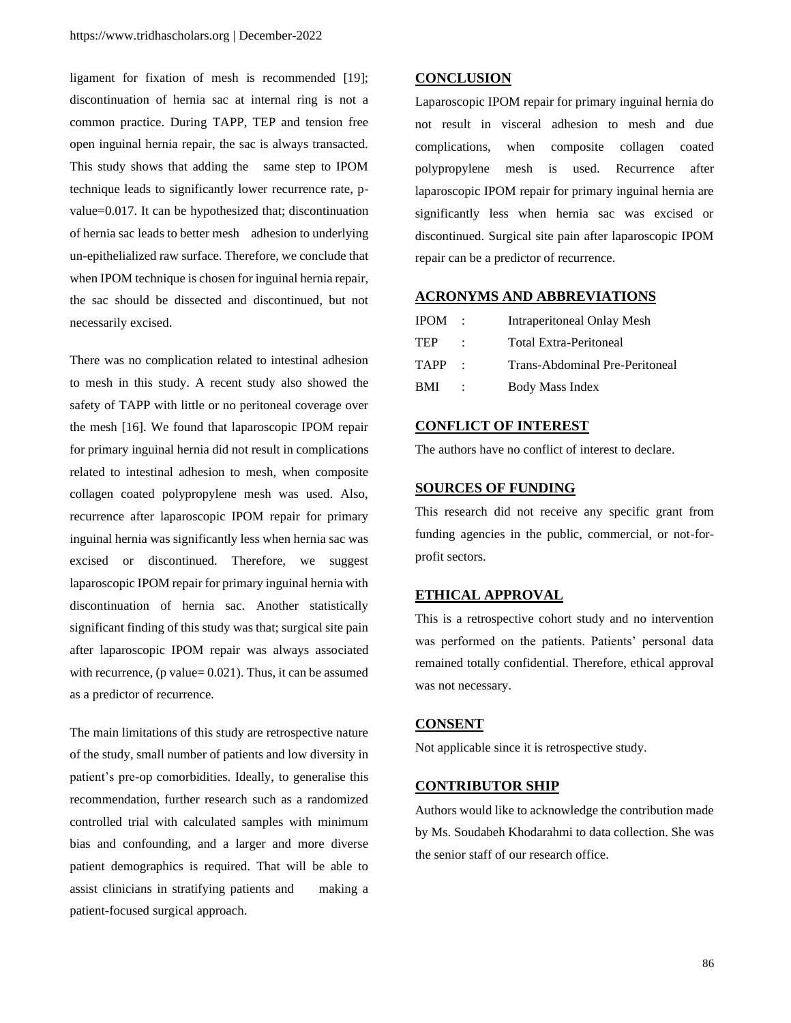ligament for fixation of mesh is recommended [19]; discontinuation of hernia sac at internal ring is not a common practice. During TAPP, TEP and tension free open inguinal hernia repair, the sac is always transacted. This study shows that adding the same step to IPOM technique leads to significantly lower recurrence rate, pvalue=0.017. It can be hypothesized that; discontinuation of hernia sac leads to better mesh adhesion to underlying un-epithelialized raw surface. Therefore, we conclude that when IPOM technique is chosen for inguinal hernia repair, the sac should be dissected and discontinued, but not necessarily excised.

There was no complication related to intestinal adhesion to mesh in this study. A recent study also showed the safety of TAPP with little or no peritoneal coverage over the mesh [16]. We found that laparoscopic IPOM repair for primary inguinal hernia did not result in complications related to intestinal adhesion to mesh, when composite collagen coated polypropylene mesh was used. Also, recurrence after laparoscopic IPOM repair for primary inguinal hernia was significantly less when hernia sac was excised or discontinued. Therefore, we suggest laparoscopic IPOM repair for primary inguinal hernia with discontinuation of hernia sac. Another statistically significant finding of this study was that; surgical site pain after laparoscopic IPOM repair was always associated with recurrence, (p value=  $0.021$ ). Thus, it can be assumed as a predictor of recurrence.

The main limitations of this study are retrospective nature of the study, small number of patients and low diversity in patient's pre-op comorbidities. Ideally, to generalise this recommendation, further research such as a randomized controlled trial with calculated samples with minimum bias and confounding, and a larger and more diverse patient demographics is required. That will be able to assist clinicians in stratifying patients and making a patient-focused surgical approach.

## **CONCLUSION**

Laparoscopic IPOM repair for primary inguinal hernia do not result in visceral adhesion to mesh and due complications, when composite collagen coated polypropylene mesh is used. Recurrence after laparoscopic IPOM repair for primary inguinal hernia are significantly less when hernia sac was excised or discontinued. Surgical site pain after laparoscopic IPOM repair can be a predictor of recurrence.

## **ACRONYMS AND ABBREVIATIONS**

| <b>IPOM</b> | Intraperitoneal Onlay Mesh     |
|-------------|--------------------------------|
| <b>TEP</b>  | Total Extra-Peritoneal         |
| <b>TAPP</b> | Trans-Abdominal Pre-Peritoneal |
| <b>BMI</b>  | Body Mass Index                |

# **CONFLICT OF INTEREST**

The authors have no conflict of interest to declare.

#### **SOURCES OF FUNDING**

This research did not receive any specific grant from funding agencies in the public, commercial, or not-forprofit sectors.

## **ETHICAL APPROVAL**

This is a retrospective cohort study and no intervention was performed on the patients. Patients' personal data remained totally confidential. Therefore, ethical approval was not necessary.

# **CONSENT**

Not applicable since it is retrospective study.

#### **CONTRIBUTOR SHIP**

Authors would like to acknowledge the contribution made by Ms. Soudabeh Khodarahmi to data collection. She was the senior staff of our research office.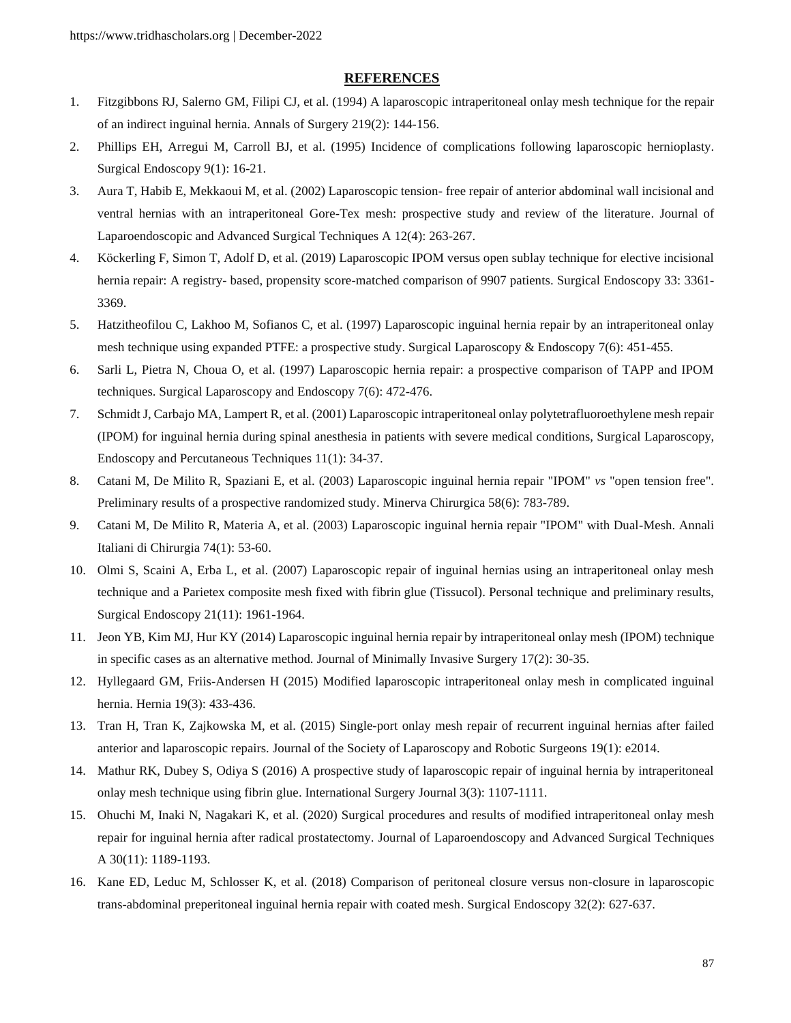## **REFERENCES**

- 1. Fitzgibbons RJ, Salerno GM, Filipi CJ, et al. (1994) A laparoscopic [intraperitoneal onlay mesh technique for the repair](https://www.ncbi.nlm.nih.gov/pmc/articles/PMC1243116/)  [of an indirect inguinal hernia. Annals](https://www.ncbi.nlm.nih.gov/pmc/articles/PMC1243116/) of Surgery 219(2): 144-156.
- 2. Phillips EH, Arregui M, Carroll BJ, et al. (1995) [Incidence of complications following laparoscopic hernioplasty.](https://pubmed.ncbi.nlm.nih.gov/7725207/) [Surgical Endoscopy 9\(1\): 16-21.](https://pubmed.ncbi.nlm.nih.gov/7725207/)
- 3. Aura T, Habib E, Mekkaoui M, et al. (2002) Laparoscopic tension- [free repair of anterior abdominal wall incisional and](https://pubmed.ncbi.nlm.nih.gov/12269494/)  [ventral hernias with an intraperitoneal Gore-Tex mesh: prospective study and review of the literature.](https://pubmed.ncbi.nlm.nih.gov/12269494/) Journal of [Laparoendoscopic and](https://pubmed.ncbi.nlm.nih.gov/12269494/) Advanced Surgical Techniques A 12(4): 263-267.
- 4. Köckerling F, Simon T, Adolf D, et al. (2019) [Laparoscopic IPOM versus open sublay technique for elective incisional](https://pubmed.ncbi.nlm.nih.gov/30604264/)  hernia repair: A registry- [based, propensity score-matched comparison of 9907 patients.](https://pubmed.ncbi.nlm.nih.gov/30604264/) Surgical Endoscopy 33: 3361- [3369.](https://pubmed.ncbi.nlm.nih.gov/30604264/)
- 5. [Hatzitheofilou C, Lakhoo M, Sofianos C, et al. \(1997\)](https://pubmed.ncbi.nlm.nih.gov/9438624/) Laparoscopic inguinal hernia repair by an intraperitoneal onlay [mesh technique using expanded PTFE: a prospective study.](https://pubmed.ncbi.nlm.nih.gov/9438624/) Surgical Laparoscopy & Endoscopy 7(6): 451-455.
- 6. Sarli L, Pietra N, Choua O, et al. (1997) [Laparoscopic hernia repair: a prospective comparison of TAPP and IPOM](https://pubmed.ncbi.nlm.nih.gov/9438629/)  techniques. Surgical [Laparoscopy and](https://pubmed.ncbi.nlm.nih.gov/9438629/) Endoscopy 7(6): 472-476.
- 7. Schmidt J, Carbajo MA, Lampert R, et al. (2001) [Laparoscopic intraperitoneal onlay polytetrafluoroethylene mesh repair](https://pubmed.ncbi.nlm.nih.gov/11269553/)  [\(IPOM\) for inguinal hernia during spinal anesthesia in patients with severe medical conditions, Surgical](https://pubmed.ncbi.nlm.nih.gov/11269553/) Laparoscopy, Endoscopy and [Percutaneous](https://pubmed.ncbi.nlm.nih.gov/11269553/) Techniques 11(1): 34-37.
- 8. Catani M, De Milito R, Spaziani E, et al. (2003) [Laparoscopic inguinal hernia repair "IPOM"](https://pubmed.ncbi.nlm.nih.gov/14663405/) *vs* "open tension free". [Preliminary results of a prospective randomized study.](https://pubmed.ncbi.nlm.nih.gov/14663405/) Minerva Chirurgica 58(6): 783-789.
- 9. Catani M, De Milito R, Materia A, et al. (2003) [Laparoscopic inguinal hernia repair "IPOM" with Dual-Mesh.](https://pubmed.ncbi.nlm.nih.gov/12870282/) Annali [Italiani di](https://pubmed.ncbi.nlm.nih.gov/12870282/) Chirurgia 74(1): 53-60.
- 10. Olmi S, Scaini A, Erba L, et al. (2007) [Laparoscopic repair of inguinal hernias using an intraperitoneal onlay mesh](https://pubmed.ncbi.nlm.nih.gov/17514387/)  [technique and a Parietex composite mesh fixed with fibrin glue \(Tissucol\). Personal technique and preliminary results,](https://pubmed.ncbi.nlm.nih.gov/17514387/)  Surgical [Endoscopy 21\(11\):](https://pubmed.ncbi.nlm.nih.gov/17514387/) 1961-1964.
- 11. Jeon YB, Kim MJ, Hur [KY \(2014\) Laparoscopic inguinal hernia repair by intraperitoneal onlay mesh \(IPOM\) technique](https://www.e-jmis.org/journal/view.html?doi=10.7602/jmis.2014.17.2.30)  [in specific cases as an alternative method.](https://www.e-jmis.org/journal/view.html?doi=10.7602/jmis.2014.17.2.30) Journal of Minimally Invasive Surgery 17(2): 30-35.
- 12. Hyllegaard GM, Friis-Andersen H (2015) [Modified laparoscopic intraperitoneal onlay mesh in complicated inguinal](https://pubmed.ncbi.nlm.nih.gov/24777429/)  hernia. [Hernia 19\(3\):](https://pubmed.ncbi.nlm.nih.gov/24777429/) 433-436.
- 13. Tran H, Tran K, Zajkowska M, et al. (2015) [Single-port onlay mesh repair of recurrent inguinal hernias after failed](https://www.ncbi.nlm.nih.gov/pmc/articles/PMC4376219/)  anterior and laparoscopic repairs. [Journal of the Society of Laparoscopy and Robotic Surgeons](https://www.ncbi.nlm.nih.gov/pmc/articles/PMC4376219/) 19(1): e2014.
- 14. Mathur RK, Dubey S, Odiya S (2016) [A prospective study of laparoscopic repair of inguinal hernia by intraperitoneal](https://www.ijsurgery.com/index.php/isj/article/view/376)  [onlay mesh technique using fibrin glue.](https://www.ijsurgery.com/index.php/isj/article/view/376) International Surgery Journal 3(3): 1107-1111.
- 15. Ohuchi M, Inaki N, Nagakari K, et al. (2020) Surgical procedures and results of [modified intraperitoneal onlay mesh](https://pubmed.ncbi.nlm.nih.gov/32343621/) [repair for inguinal hernia after radical prostatectomy.](https://pubmed.ncbi.nlm.nih.gov/32343621/) Journal of Laparoendoscopy and Advanced Surgical Techniques A 30(11): [1189-1193.](https://pubmed.ncbi.nlm.nih.gov/32343621/)
- 16. Kane ED, Leduc M, Schlosser K, et al. (2018) [Comparison of peritoneal closure versus non-closure in laparoscopic](https://pubmed.ncbi.nlm.nih.gov/28779253/)  [trans-abdominal preperitoneal inguinal hernia repair with coated mesh.](https://pubmed.ncbi.nlm.nih.gov/28779253/) Surgical Endoscopy 32(2): 627-637.